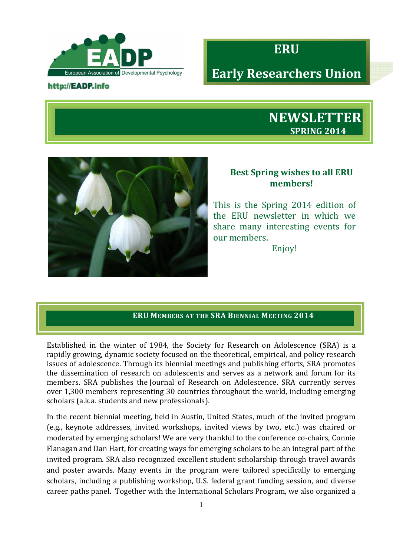

#### http://EADP.info



# **Early Researchers Union**





# **Best Spring wishes to all ERU members!**

This is the Spring 2014 edition of the ERU newsletter in which we share many interesting events for our members.

Enjoy!

# **ERU MEMBERS AT THE SRA BIENNIAL MEETING 2014**

Established in the winter of 1984, the Society for Research on Adolescence (SRA) is a rapidly growing, dynamic society focused on the theoretical, empirical, and policy research issues of adolescence. Through its biennial meetings and publishing efforts, SRA promotes the dissemination of research on adolescents and serves as a network and forum for its members. SRA publishes the Journal of Research on Adolescence. SRA currently serves over 1,300 members representing 30 countries throughout the world, including emerging scholars (a.k.a. students and new professionals).

In the recent biennial meeting, held in Austin, United States, much of the invited program (e.g., keynote addresses, invited workshops, invited views by two, etc.) was chaired or moderated by emerging scholars! We are very thankful to the conference co-chairs, Connie Flanagan and Dan Hart, for creating ways for emerging scholars to be an integral part of the invited program. SRA also recognized excellent student scholarship through travel awards and poster awards. Many events in the program were tailored specifically to emerging scholars, including a publishing workshop, U.S. federal grant funding session, and diverse career paths panel. Together with the International Scholars Program, we also organized a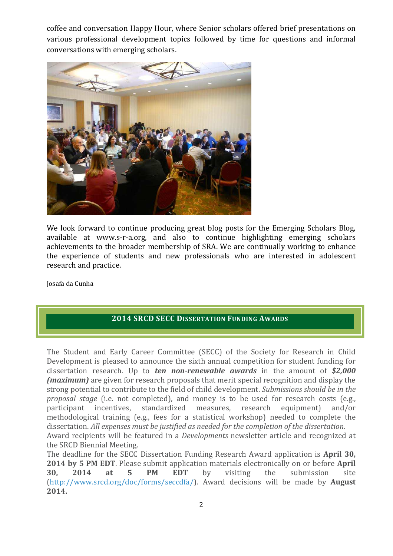coffee and conversation Happy Hour, where Senior scholars offered brief presentations on various professional development topics followed by time for questions and informal conversations with emerging scholars.



We look forward to continue producing great blog posts for the Emerging Scholars Blog, available at www.s-r-a.org, and also to continue highlighting emerging scholars achievements to the broader membership of SRA. We are continually working to enhance the experience of students and new professionals who are interested in adolescent research and practice.

Josafa da Cunha

## **2014 SRCD SECC DISSERTATION FUNDING AWARDS**

The Student and Early Career Committee (SECC) of the Society for Research in Child Development is pleased to announce the sixth annual competition for student funding for dissertation research. Up to *ten non-renewable awards* in the amount of *\$2,000 (maximum)* are given for research proposals that merit special recognition and display the strong potential to contribute to the field of child development. *Submissions should be in the proposal stage* (i.e. not completed), and money is to be used for research costs (e.g., participant incentives, standardized measures, research equipment) and/or methodological training (e.g., fees for a statistical workshop) needed to complete the dissertation. *All expenses must be justified as needed for the completion of the dissertation.* Award recipients will be featured in a *Developments* newsletter article and recognized at the SRCD Biennial Meeting.

The deadline for the SECC Dissertation Funding Research Award application is **April 30, 2014 by 5 PM EDT**. Please submit application materials electronically on or before **April 30, 2014 at 5 PM EDT** by visiting the submission site (http://www.srcd.org/doc/forms/seccdfa/). Award decisions will be made by **August 2014.**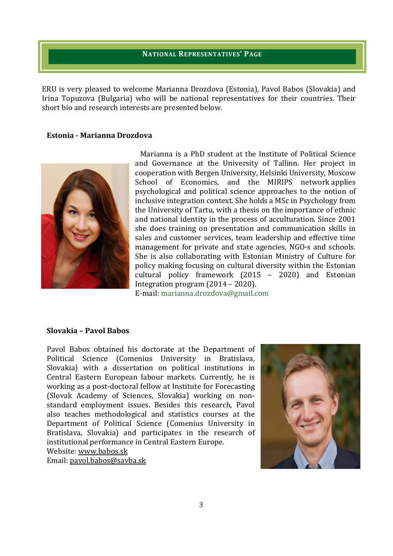#### **NATIONAL REPRESENTATIVES' PAGE**

ERU is very pleased to welcome Marianna Drozdova (Estonia), Pavol Babos (Slovakia) and Irina Topuzova (Bulgaria) who will be national representatives for their countries. Their short bio and research interests are presented below.

#### **Estonia - Marianna Drozdova**



Marianna is a PhD student at the Institute of Political Science and Governance at the University of Tallinn. Her project in cooperation with Bergen University, Helsinki University, Moscow School of Economics, and the MIRIPS network applies psychological and political science approaches to the notion of inclusive integration context. She holds a MSc in Psychology from the University of Tartu, with a thesis on the importance of ethnic and national identity in the process of acculturation. Since 2001 she does training on presentation and communication skills in sales and customer services, team leadership and effective time management for private and state agencies, NGO-s and schools. She is also collaborating with Estonian Ministry of Culture for policy making focusing on cultural diversity within the Estonian cultural policy framework (2015 – 2020) and Estonian Integration program (2014 – 2020). E-mail: marianna.drozdova@gmail.com

#### **Slovakia – Pavol Babos**

Pavol Babos obtained his doctorate at the Department of Political Science (Comenius University in Bratislava, Slovakia) with a dissertation on political institutions in Central Eastern European labour markets. Currently, he is working as a post-doctoral fellow at Institute for Forecasting (Slovak Academy of Sciences, Slovakia) working on nonstandard employment issues. Besides this research, Pavol also teaches methodological and statistics courses at the Department of Political Science (Comenius University in Bratislava, Slovakia) and participates in the research of institutional performance in Central Eastern Europe. Website: www.babos.sk Email: pavol.babos@savba.sk

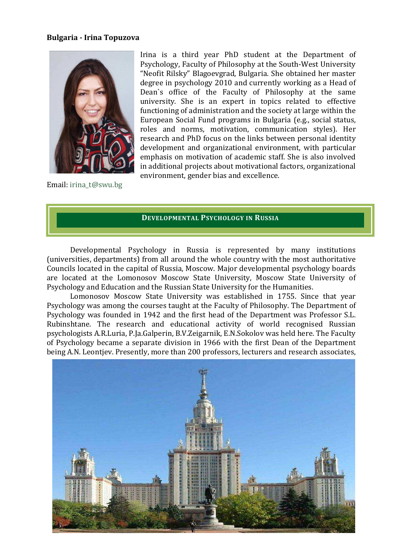#### **Bulgaria - Irina Topuzova**



Irina is a third year PhD student at the Department of Psychology, Faculty of Philosophy at the South-West University "Neofit Rilsky" Blagoevgrad, Bulgaria. She obtained her master degree in psychology 2010 and currently working as a Head of Dean`s office of the Faculty of Philosophy at the same university. She is an expert in topics related to effective functioning of administration and the society at large within the European Social Fund programs in Bulgaria (e.g., social status, roles and norms, motivation, communication styles). Her research and PhD focus on the links between personal identity development and organizational environment, with particular emphasis on motivation of academic staff. She is also involved in additional projects about motivational factors, organizational environment, gender bias and excellence.

Email: irina\_t@swu.bg

### **DEVELOPMENTAL PSYCHOLOGY IN RUSSIA**

Developmental Psychology in Russia is represented by many institutions (universities, departments) from all around the whole country with the most authoritative Councils located in the capital of Russia, Moscow. Major developmental psychology boards are located at the Lomonosov Moscow State University, Moscow State University of Psychology and Education and the Russian State University for the Humanities.

Lomonosov Moscow State University was established in 1755. Since that year Psychology was among the courses taught at the Faculty of Philosophy. The Department of Psychology was founded in 1942 and the first head of the Department was Professor S.L. Rubinshtane. The research and educational activity of world recognised Russian psychologists A.R.Luria, P.Ja.Galperin, B.V.Zeigarnik, E.N.Sokolov was held here. The Faculty of Psychology became a separate division in 1966 with the first Dean of the Department being A.N. Leontjev. Presently, more than 200 professors, lecturers and research associates,